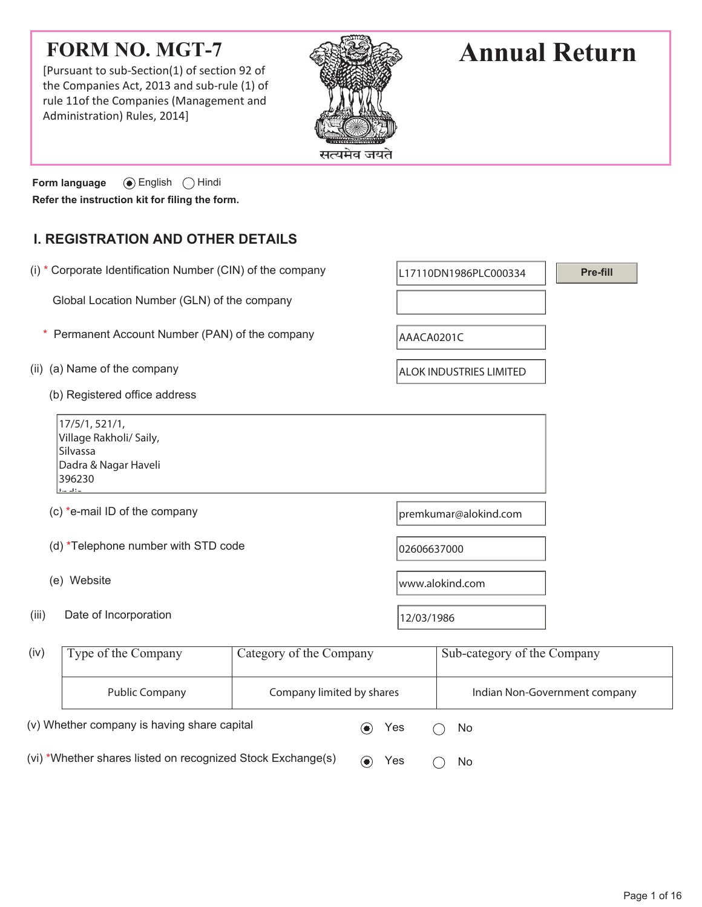# **FORM NO. MGT-7**

[Pursuant to sub-Section(1) of section 92 of the Companies Act, 2013 and sub-rule (1) of rule 11of the Companies (Management and Administration) Rules, 2014]



# **Annual Return**

**Form language**  $\odot$  English  $\odot$  Hindi **Refer the instruction kit for filing the form.**

## **I. REGISTRATION AND OTHER DETAILS**

(i)  $*$  Corporate Identification Number (CIN) of the company  $\vert$  L17110DN1986PLC000334 Global Location Number (GLN) of the company (ii) (a) Name of the company  $\vert$  ALOK INDUSTRIES LIMITED (b) Registered office address 17/5/1, 521/1, Village Rakholi/ Saily, Silvassa Dadra & Nagar Haveli 396230  $|$ india (c)  $*$ e-mail ID of the company premier premier premier premier premier premier  $|$  premkumar@alokind.com (d)  $*$ Telephone number with STD code  $|02606637000$  (e) Website www.alokind.com (iii) Date of Incorporation  $\vert$  12/03/1986 Type of the Company Category of the Company Sub-category of the Company Public Company The Company limited by shares The Indian Non-Government company (iv) **Pre-fill** \* Permanent Account Number (PAN) of the company  $AAACA0201C$ 

(v) Whether company is having share capital  $\qquad \qquad \odot \quad \text{Yes} \qquad \bigcirc \quad \text{No}$ (vi) \*Whether shares listed on recognized Stock Exchange(s)  $\qquad \qquad \bullet \quad$  Yes  $\qquad \bigcirc \quad$  No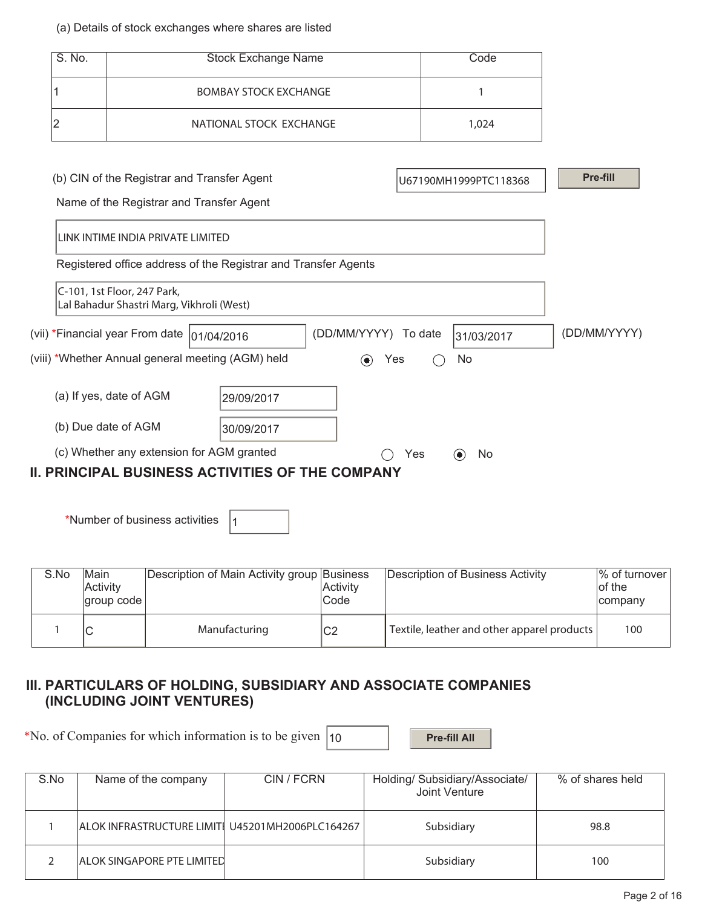#### (a) Details of stock exchanges where shares are listed

|   | S. No.                                                                   | <b>Stock Exchange Name</b><br>Code |                                                                |                              |                      |     |                       |              |
|---|--------------------------------------------------------------------------|------------------------------------|----------------------------------------------------------------|------------------------------|----------------------|-----|-----------------------|--------------|
|   |                                                                          |                                    |                                                                | <b>BOMBAY STOCK EXCHANGE</b> |                      |     | 1                     |              |
| 2 |                                                                          |                                    |                                                                | NATIONAL STOCK EXCHANGE      |                      |     | 1,024                 |              |
|   |                                                                          |                                    |                                                                |                              |                      |     |                       |              |
|   |                                                                          |                                    | (b) CIN of the Registrar and Transfer Agent                    |                              |                      |     | U67190MH1999PTC118368 | Pre-fill     |
|   |                                                                          |                                    | Name of the Registrar and Transfer Agent                       |                              |                      |     |                       |              |
|   | LINK INTIME INDIA PRIVATE LIMITED                                        |                                    |                                                                |                              |                      |     |                       |              |
|   |                                                                          |                                    | Registered office address of the Registrar and Transfer Agents |                              |                      |     |                       |              |
|   | C-101, 1st Floor, 247 Park,<br>Lal Bahadur Shastri Marg, Vikhroli (West) |                                    |                                                                |                              |                      |     |                       |              |
|   | (vii) *Financial year From date  01/04/2016                              |                                    |                                                                |                              | (DD/MM/YYYY) To date |     | 31/03/2017            | (DD/MM/YYYY) |
|   |                                                                          |                                    | (viii) *Whether Annual general meeting (AGM) held              |                              | Yes<br>$(\bullet)$   |     | No                    |              |
|   | (a) If yes, date of AGM                                                  |                                    | 29/09/2017                                                     |                              |                      |     |                       |              |
|   | (b) Due date of AGM                                                      |                                    | 30/09/2017                                                     |                              |                      |     |                       |              |
|   |                                                                          |                                    | (c) Whether any extension for AGM granted                      |                              |                      | Yes | No<br>$(\bullet)$     |              |
|   |                                                                          |                                    | <b>II. PRINCIPAL BUSINESS ACTIVITIES OF THE COMPANY</b>        |                              |                      |     |                       |              |

\*Number of business activities  $\vert_1$ 

| S.No | lMain<br>Activity<br> group code | Description of Main Activity group Business | <b>Activity</b><br>Code | Description of Business Activity            | % of turnover<br>of the<br>company |
|------|----------------------------------|---------------------------------------------|-------------------------|---------------------------------------------|------------------------------------|
|      | ◡                                | Manufacturing                               | C2                      | Textile, leather and other apparel products | 100                                |

## **III. PARTICULARS OF HOLDING, SUBSIDIARY AND ASSOCIATE COMPANIES (INCLUDING JOINT VENTURES)**

\*No. of Companies for which information is to be given  $|10 \tP$ **Pre-fill All** 

| S.No | Name of the company                              | CIN / FCRN | Holding/ Subsidiary/Associate/<br>Joint Venture | % of shares held |
|------|--------------------------------------------------|------------|-------------------------------------------------|------------------|
|      | ALOK INFRASTRUCTURE LIMITI U45201MH2006PLC164267 |            | Subsidiary                                      | 98.8             |
|      | <b>ALOK SINGAPORE PTE LIMITED</b>                |            | Subsidiary                                      | 100              |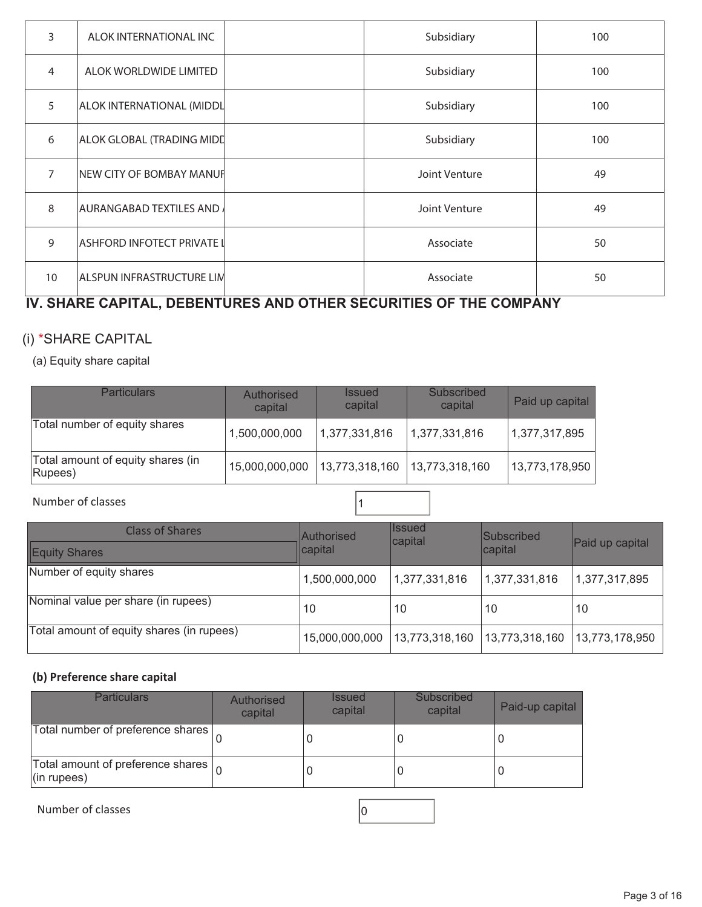| 3              | ALOK INTERNATIONAL INC            | Subsidiary    | 100 |
|----------------|-----------------------------------|---------------|-----|
| 4              | ALOK WORLDWIDE LIMITED            | Subsidiary    | 100 |
| 5              | ALOK INTERNATIONAL (MIDDL         | Subsidiary    | 100 |
| 6              | ALOK GLOBAL (TRADING MIDE         | Subsidiary    | 100 |
| $\overline{7}$ | INEW CITY OF BOMBAY MANUII        | Joint Venture | 49  |
| 8              | AURANGABAD TEXTILES AND ,         | Joint Venture | 49  |
| 9              | <b>ASHFORD INFOTECT PRIVATE I</b> | Associate     | 50  |
| 10             | ALSPUN INFRASTRUCTURE LIN         | Associate     | 50  |

## **IV. SHARE CAPITAL, DEBENTURES AND OTHER SECURITIES OF THE COMPANY**

## (i) \*SHARE CAPITAL

(a) Equity share capital

| <b>Particulars</b>                           | Authorised<br>capital | <i><b>Issued</b></i><br>capital | Subscribed<br>capital | Paid up capital |
|----------------------------------------------|-----------------------|---------------------------------|-----------------------|-----------------|
| Total number of equity shares                | 1,500,000,000         | 1,377,331,816                   | 1,377,331,816         | 1,377,317,895   |
| Total amount of equity shares (in<br>Rupees) | 15,000,000,000        | 13,773,318,160                  | 13,773,318,160        | 13,773,178,950  |

Number of classes and the set of the set of the set of the set of the set of the set of the set of the set of the set of the set of the set of the set of the set of the set of the set of the set of the set of the set of th

| <b>Class of Shares</b><br><b>Equity Shares</b> | <b>Authorised</b><br>capital | <b>I</b> ssued<br>capital | Subscribed<br>capital | Paid up capital |
|------------------------------------------------|------------------------------|---------------------------|-----------------------|-----------------|
| Number of equity shares                        | 1,500,000,000                | 1,377,331,816             | 1,377,331,816         | 1,377,317,895   |
| Nominal value per share (in rupees)            | 10                           | 10                        | 10                    | 10              |
| Total amount of equity shares (in rupees)      | 15,000,000,000               | 13,773,318,160            | 13,773,318,160        | 13,773,178,950  |

### **(b) Preference share capital**

| <b>Particulars</b>                                                      | Authorised<br>capital | <b>Issued</b><br>capital | <b>Subscribed</b><br>capital | Paid-up capital |
|-------------------------------------------------------------------------|-----------------------|--------------------------|------------------------------|-----------------|
| Total number of preference shares                                       |                       |                          |                              |                 |
| Total amount of preference shares $\vert_{\Omega}$<br>$($ in rupees $)$ |                       |                          |                              |                 |

Number of classes and contact the contact of classes and contact of  $\sim$  0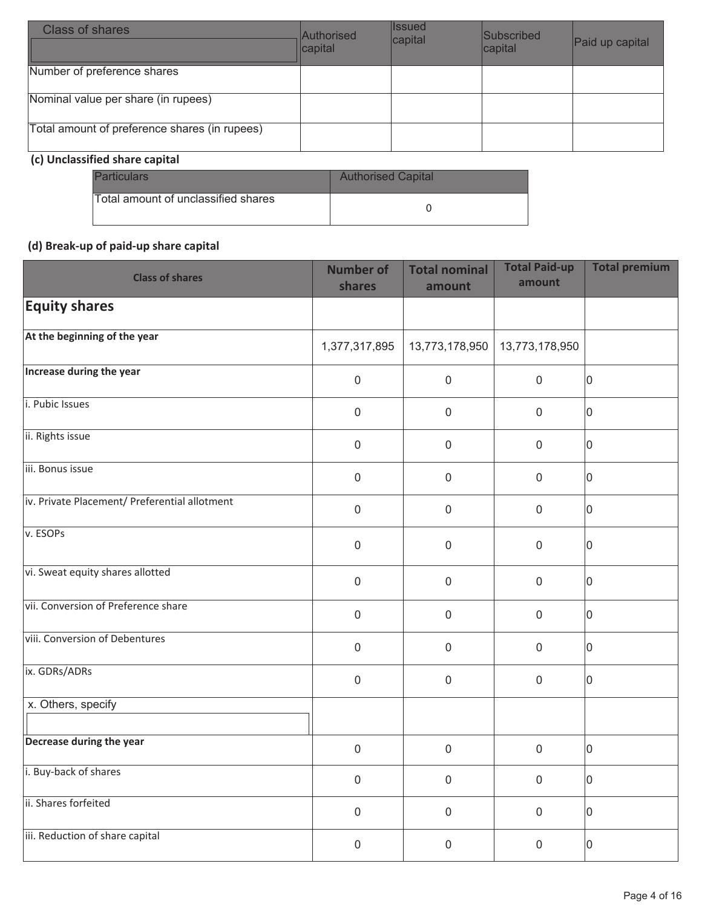| <b>Class of shares</b>                        | Authorised<br>capital | <b>Issued</b><br>capital | Subscribed<br>capital | Paid up capital |
|-----------------------------------------------|-----------------------|--------------------------|-----------------------|-----------------|
| Number of preference shares                   |                       |                          |                       |                 |
| Nominal value per share (in rupees)           |                       |                          |                       |                 |
| Total amount of preference shares (in rupees) |                       |                          |                       |                 |

### **(c) Unclassified share capital**

| <b>Particulars</b>                  | <b>Authorised Capital</b> |
|-------------------------------------|---------------------------|
| Total amount of unclassified shares |                           |

#### **(d) Break-up of paid-up share capital**

| <b>Class of shares</b>                        | <b>Number of</b><br>shares | <b>Total nominal</b><br>amount | <b>Total Paid-up</b><br>amount | <b>Total premium</b> |
|-----------------------------------------------|----------------------------|--------------------------------|--------------------------------|----------------------|
| <b>Equity shares</b>                          |                            |                                |                                |                      |
| At the beginning of the year                  | 1,377,317,895              | 13,773,178,950                 | 13,773,178,950                 |                      |
| Increase during the year                      | $\mathsf{O}\xspace$        | $\mathbf 0$                    | 0                              | 0                    |
| i. Pubic Issues                               | $\boldsymbol{0}$           | $\mathbf 0$                    | $\mathbf 0$                    | 0                    |
| ii. Rights issue                              | $\boldsymbol{0}$           | $\mathbf 0$                    | 0                              | 0                    |
| iii. Bonus issue                              | $\mathsf{O}\xspace$        | $\boldsymbol{0}$               | $\mathbf 0$                    | 0                    |
| iv. Private Placement/ Preferential allotment | $\boldsymbol{0}$           | $\boldsymbol{0}$               | $\mathsf{O}\xspace$            | 0                    |
| v. ESOPs                                      | $\pmb{0}$                  | $\mathbf 0$                    | $\mathbf 0$                    | 0                    |
| vi. Sweat equity shares allotted              | $\mathsf{O}\xspace$        | $\mathbf 0$                    | $\mathbf 0$                    | 0                    |
| vii. Conversion of Preference share           | $\mathbf 0$                | $\boldsymbol{0}$               | $\mathsf{O}\xspace$            | 0                    |
| viii. Conversion of Debentures                | $\boldsymbol{0}$           | $\mathbf 0$                    | $\pmb{0}$                      | 0                    |
| ix. GDRs/ADRs                                 | $\mathbf 0$                | $\boldsymbol{0}$               | $\mathbf 0$                    | 0                    |
| x. Others, specify                            |                            |                                |                                |                      |
| Decrease during the year                      | $\mathbf 0$                | $\boldsymbol{0}$               | $\mathbf 0$                    | 0                    |
| i. Buy-back of shares                         | $\mathbf 0$                | $\pmb{0}$                      | 0                              | 0                    |
| ii. Shares forfeited                          | $\mathbf 0$                | $\mathbf 0$                    | $\mathsf 0$                    | 0                    |
| iii. Reduction of share capital               | $\mathbf 0$                | $\mathbf 0$                    | 0                              | 0                    |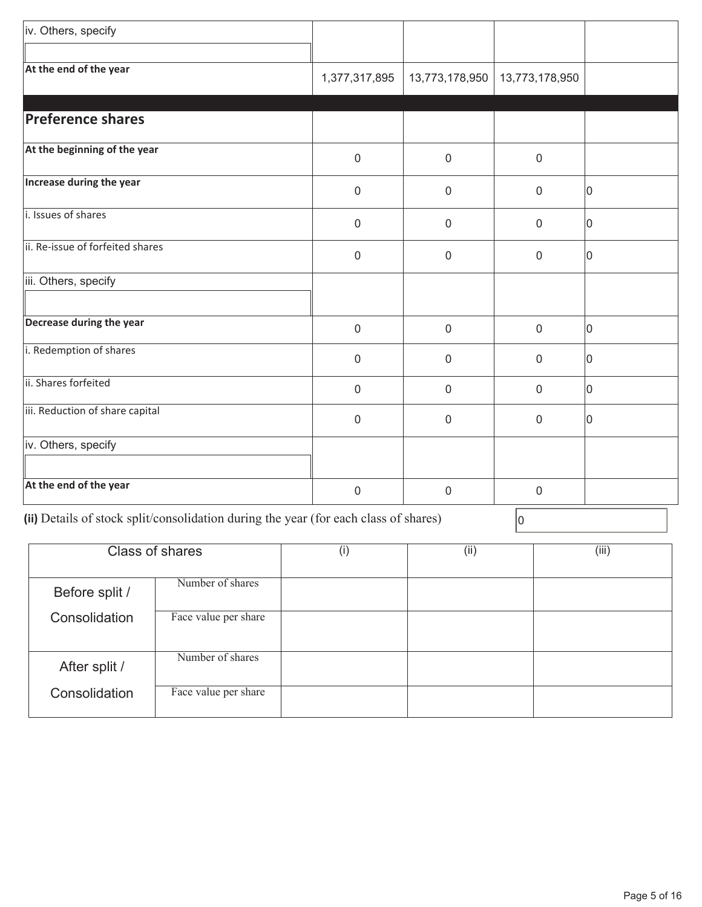| iv. Others, specify              |                     |                  |                                 |    |
|----------------------------------|---------------------|------------------|---------------------------------|----|
| At the end of the year           | 1,377,317,895       |                  | 13,773,178,950   13,773,178,950 |    |
|                                  |                     |                  |                                 |    |
| <b>Preference shares</b>         |                     |                  |                                 |    |
| At the beginning of the year     | $\mathsf{O}\xspace$ | $\boldsymbol{0}$ | $\boldsymbol{0}$                |    |
| Increase during the year         | $\mathsf{O}\xspace$ | $\mathbf 0$      | $\mathbf 0$                     | 10 |
| i. Issues of shares              | $\mathsf 0$         | $\overline{0}$   | $\mathbf 0$                     | 0  |
| ii. Re-issue of forfeited shares | $\mathsf{O}\xspace$ | $\mathbf 0$      | $\mathbf 0$                     | 10 |
| iii. Others, specify             |                     |                  |                                 |    |
| Decrease during the year         | $\mathsf{O}\xspace$ | $\mathbf 0$      | $\mathbf 0$                     | 10 |
| i. Redemption of shares          | $\mathsf{O}\xspace$ | $\mathbf 0$      | $\mathbf 0$                     | 10 |
| ii. Shares forfeited             | $\mathbf 0$         | $\mathbf 0$      | $\mathbf 0$                     | lo |
| iii. Reduction of share capital  | $\mathsf 0$         | $\mathbf 0$      | $\mathbf 0$                     | 0  |
| iv. Others, specify              |                     |                  |                                 |    |
| At the end of the year           | $\mathsf{O}\xspace$ | $\mathbf 0$      | $\mathbf 0$                     |    |

**(ii)** Details of stock split/consolidation during the year (for each class of shares)  $\boxed{0}$ 

|                | <b>Class of shares</b> | (i) | (i) | (iii) |
|----------------|------------------------|-----|-----|-------|
| Before split / | Number of shares       |     |     |       |
| Consolidation  | Face value per share   |     |     |       |
| After split /  | Number of shares       |     |     |       |
| Consolidation  | Face value per share   |     |     |       |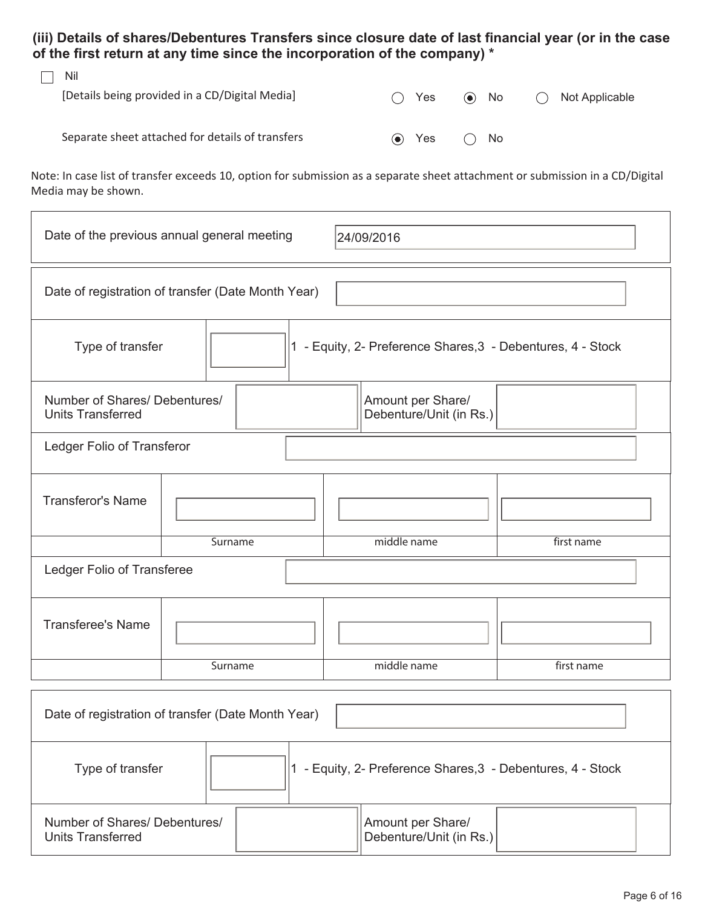**(iii) Details of shares/Debentures Transfers since closure date of last financial year (or in the case of the first return at any time since the incorporation of the company) \*** 

| $\top$ Nil<br>[Details being provided in a CD/Digital Media] | ∩ Yes       | $\odot$ No    | Not Applicable<br>( |
|--------------------------------------------------------------|-------------|---------------|---------------------|
| Separate sheet attached for details of transfers             | $\odot$ Yes | $\bigcirc$ No |                     |

Note: In case list of transfer exceeds 10, option for submission as a separate sheet attachment or submission in a CD/Digital Media may be shown.

| Date of the previous annual general meeting<br>24/09/2016                                                 |         |  |  |             |            |  |
|-----------------------------------------------------------------------------------------------------------|---------|--|--|-------------|------------|--|
| Date of registration of transfer (Date Month Year)                                                        |         |  |  |             |            |  |
| Type of transfer<br>1 - Equity, 2- Preference Shares, 3 - Debentures, 4 - Stock                           |         |  |  |             |            |  |
| Number of Shares/ Debentures/<br>Amount per Share/<br><b>Units Transferred</b><br>Debenture/Unit (in Rs.) |         |  |  |             |            |  |
| Ledger Folio of Transferor                                                                                |         |  |  |             |            |  |
| <b>Transferor's Name</b>                                                                                  |         |  |  |             |            |  |
|                                                                                                           | Surname |  |  | middle name | first name |  |
| Ledger Folio of Transferee                                                                                |         |  |  |             |            |  |
| <b>Transferee's Name</b>                                                                                  |         |  |  |             |            |  |
|                                                                                                           | Surname |  |  | middle name | first name |  |
| Date of registration of transfer (Date Month Year)                                                        |         |  |  |             |            |  |
| Type of transfer<br>1 - Equity, 2- Preference Shares, 3 - Debentures, 4 - Stock                           |         |  |  |             |            |  |

| Number of Shares/ Debentures/<br><b>Units Transferred</b> | Amount per Share/<br>Debenture/Unit (in Rs.) |
|-----------------------------------------------------------|----------------------------------------------|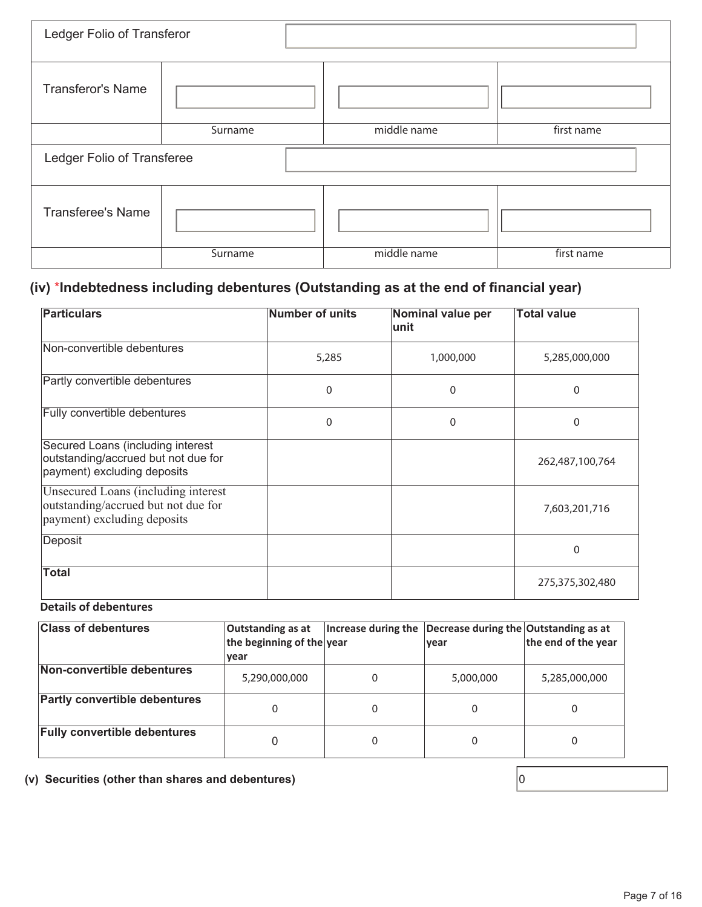| Ledger Folio of Transferor |                            |  |             |            |  |  |
|----------------------------|----------------------------|--|-------------|------------|--|--|
| <b>Transferor's Name</b>   |                            |  |             |            |  |  |
|                            | Surname                    |  | middle name | first name |  |  |
|                            | Ledger Folio of Transferee |  |             |            |  |  |
| <b>Transferee's Name</b>   |                            |  |             |            |  |  |
|                            |                            |  |             |            |  |  |

## **(iv)** \***Indebtedness including debentures (Outstanding as at the end of financial year)**

| <b>Particulars</b>                                                                                        | Number of units | Nominal value per<br>lunit | <b>Total value</b> |
|-----------------------------------------------------------------------------------------------------------|-----------------|----------------------------|--------------------|
| Non-convertible debentures                                                                                | 5,285           | 1,000,000                  | 5,285,000,000      |
| Partly convertible debentures                                                                             | 0               | $\mathbf{0}$               | 0                  |
| Fully convertible debentures                                                                              | $\Omega$        | $\mathbf{0}$               | 0                  |
| Secured Loans (including interest<br>outstanding/accrued but not due for<br>payment) excluding deposits   |                 |                            | 262,487,100,764    |
| Unsecured Loans (including interest<br>outstanding/accrued but not due for<br>payment) excluding deposits |                 |                            | 7,603,201,716      |
| Deposit                                                                                                   |                 |                            | 0                  |
| <b>Total</b>                                                                                              |                 |                            | 275,375,302,480    |

### **Details of debentures**

| <b>Class of debentures</b>           | Outstanding as at<br>the beginning of the year<br><b>vear</b> | Increase during the Decrease during the Outstanding as at<br><b>vear</b> | the end of the year |
|--------------------------------------|---------------------------------------------------------------|--------------------------------------------------------------------------|---------------------|
| Non-convertible debentures           | 5,290,000,000                                                 | 5,000,000                                                                | 5,285,000,000       |
| <b>Partly convertible debentures</b> | 0                                                             |                                                                          | 0                   |
| <b>Fully convertible debentures</b>  | 0                                                             | 0                                                                        |                     |

**(v) Securities (other than shares and debentures)** 0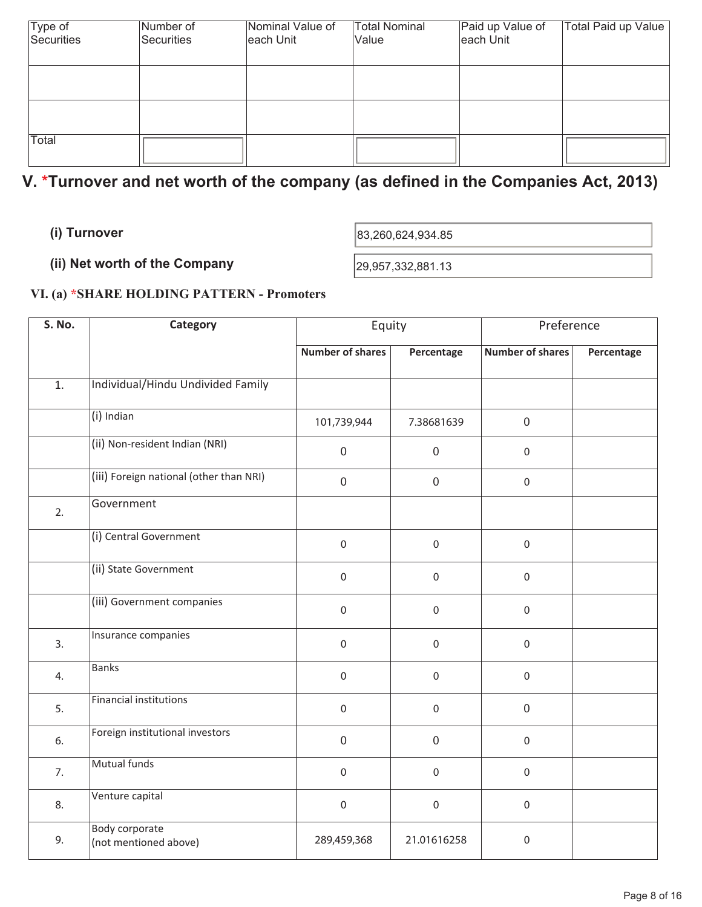| Type of    | Number of  | Nominal Value of | <b>Total Nominal</b> | Paid up Value of | Total Paid up Value |
|------------|------------|------------------|----------------------|------------------|---------------------|
| Securities | Securities | each Unit        | Value                | each Unit        |                     |
|            |            |                  |                      |                  |                     |
|            |            |                  |                      |                  |                     |
|            |            |                  |                      |                  |                     |
|            |            |                  |                      |                  |                     |
|            |            |                  |                      |                  |                     |
| Total      |            |                  |                      |                  |                     |
|            |            |                  |                      |                  |                     |

# **V. \*Turnover and net worth of the company (as defined in the Companies Act, 2013)**

**(i) Turnover** 

83,260,624,934.85

(ii) Net worth of the Company **29,957,332,881.13** 

### **VI. (a) \*SHARE HOLDING PATTERN - Promoters**

| <b>S. No.</b>    | <b>Category</b>                                | Equity                  |                  | Preference              |            |  |
|------------------|------------------------------------------------|-------------------------|------------------|-------------------------|------------|--|
|                  |                                                | <b>Number of shares</b> | Percentage       | <b>Number of shares</b> | Percentage |  |
| $\overline{1}$ . | Individual/Hindu Undivided Family              |                         |                  |                         |            |  |
|                  | $(i)$ Indian                                   | 101,739,944             | 7.38681639       | $\mathsf{O}\xspace$     |            |  |
|                  | (ii) Non-resident Indian (NRI)                 | $\mathbf 0$             | $\mathbf 0$      | $\mathsf{O}\xspace$     |            |  |
|                  | (iii) Foreign national (other than NRI)        | $\mathsf{O}\xspace$     | $\mathbf 0$      | $\mathbf 0$             |            |  |
| 2.               | Government                                     |                         |                  |                         |            |  |
|                  | (i) Central Government                         | $\mathbf 0$             | $\mbox{O}$       | $\mathbf 0$             |            |  |
|                  | (ii) State Government                          | $\mathbf 0$             | $\mathbf 0$      | $\mathsf{O}\xspace$     |            |  |
|                  | (iii) Government companies                     | $\boldsymbol{0}$        | $\boldsymbol{0}$ | $\mathsf{O}\xspace$     |            |  |
| 3.               | Insurance companies                            | $\mathbf 0$             | $\boldsymbol{0}$ | $\mathsf{O}\xspace$     |            |  |
| 4.               | <b>Banks</b>                                   | $\mathbf 0$             | $\boldsymbol{0}$ | $\mathsf{O}\xspace$     |            |  |
| 5.               | Financial institutions                         | $\mathbf 0$             | $\mathbf 0$      | $\mathsf{O}\xspace$     |            |  |
| 6.               | Foreign institutional investors                | $\mathsf{O}\xspace$     | $\mathbf 0$      | $\mathsf{O}\xspace$     |            |  |
| 7.               | Mutual funds                                   | $\boldsymbol{0}$        | 0                | $\mathbf 0$             |            |  |
| 8.               | Venture capital                                | $\boldsymbol{0}$        | $\boldsymbol{0}$ | $\boldsymbol{0}$        |            |  |
| 9.               | <b>Body corporate</b><br>(not mentioned above) | 289,459,368             | 21.01616258      | 0                       |            |  |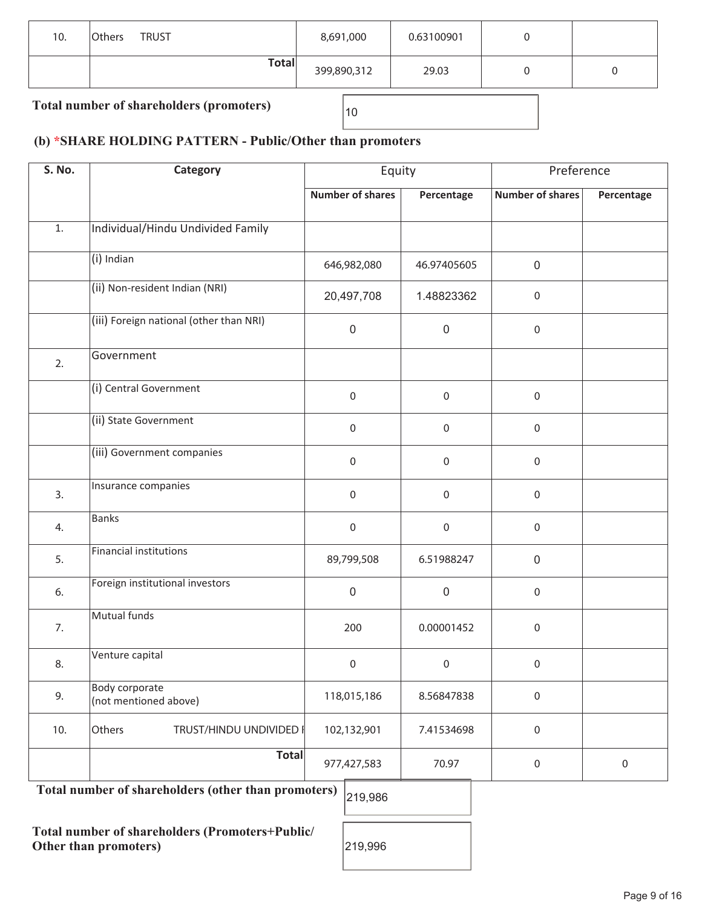| 10. | <b>TRUST</b><br><b>Others</b> | 8,691,000   | 0.63100901 |   |
|-----|-------------------------------|-------------|------------|---|
|     | <b>Total</b>                  | 399,890,312 | 29.03      | U |

# Total number of shareholders (promoters)  $\Big|_{10}$

## **(b) \*SHARE HOLDING PATTERN - Public/Other than promoters**

| <b>S. No.</b> | Category                                       | Equity                  |                  | Preference       |                  |  |
|---------------|------------------------------------------------|-------------------------|------------------|------------------|------------------|--|
|               |                                                | <b>Number of shares</b> | Percentage       | Number of shares | Percentage       |  |
| 1.            | Individual/Hindu Undivided Family              |                         |                  |                  |                  |  |
|               | (i) Indian                                     | 646,982,080             | 46.97405605      | $\mathbf 0$      |                  |  |
|               | (ii) Non-resident Indian (NRI)                 | 20,497,708              | 1.48823362       | 0                |                  |  |
|               | (iii) Foreign national (other than NRI)        | $\mathbf 0$             | $\mathsf 0$      | $\boldsymbol{0}$ |                  |  |
| 2.            | Government                                     |                         |                  |                  |                  |  |
|               | (i) Central Government                         | $\boldsymbol{0}$        | $\boldsymbol{0}$ | $\boldsymbol{0}$ |                  |  |
|               | (ii) State Government                          | $\boldsymbol{0}$        | $\boldsymbol{0}$ | $\mathbf 0$      |                  |  |
|               | (iii) Government companies                     | $\mathbf 0$             | $\mathbf 0$      | $\mathbf 0$      |                  |  |
| 3.            | Insurance companies                            | 0                       | $\boldsymbol{0}$ | $\boldsymbol{0}$ |                  |  |
| 4.            | <b>Banks</b>                                   | 0                       | $\boldsymbol{0}$ | $\boldsymbol{0}$ |                  |  |
| 5.            | <b>Financial institutions</b>                  | 89,799,508              | 6.51988247       | $\mathbf 0$      |                  |  |
| 6.            | Foreign institutional investors                | $\mathbf 0$             | $\mathsf 0$      | $\mathbf 0$      |                  |  |
| 7.            | Mutual funds                                   | 200                     | 0.00001452       | $\boldsymbol{0}$ |                  |  |
| 8.            | Venture capital                                | $\overline{0}$          | $\overline{0}$   | $\overline{0}$   |                  |  |
| 9.            | <b>Body corporate</b><br>(not mentioned above) | 118,015,186             | 8.56847838       | $\mathbf 0$      |                  |  |
| 10.           | Others<br>TRUST/HINDU UNDIVIDED I              | 102,132,901             | 7.41534698       | $\boldsymbol{0}$ |                  |  |
|               | <b>Total</b>                                   | 977,427,583             | 70.97            | $\boldsymbol{0}$ | $\boldsymbol{0}$ |  |

Total number of shareholders (other than promoters)  $\vert_{219,986}$ 

#### **Total number of shareholders (Promoters+Public/ Other than promoters)** 219,996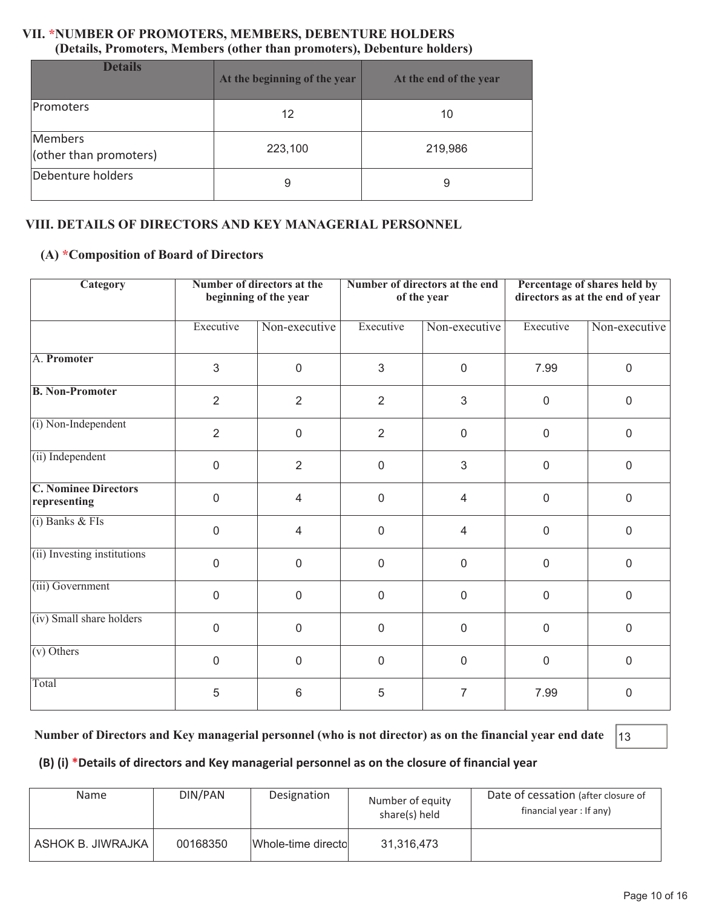#### **VII. \*NUMBER OF PROMOTERS, MEMBERS, DEBENTURE HOLDERS (Details, Promoters, Members (other than promoters), Debenture holders)**

| <b>Details</b>                    | At the beginning of the year | At the end of the year |
|-----------------------------------|------------------------------|------------------------|
| Promoters                         | 12                           | 10                     |
| Members<br>(other than promoters) | 223,100                      | 219,986                |
| Debenture holders                 | 9                            | 9                      |

#### **VIII. DETAILS OF DIRECTORS AND KEY MANAGERIAL PERSONNEL**

#### **(A) \*Composition of Board of Directors**

| <b>Category</b>                             |                | Number of directors at the<br>beginning of the year | Number of directors at the end<br>of the year |                | Percentage of shares held by<br>directors as at the end of year |               |
|---------------------------------------------|----------------|-----------------------------------------------------|-----------------------------------------------|----------------|-----------------------------------------------------------------|---------------|
|                                             | Executive      | Non-executive                                       | Executive                                     | Non-executive  | Executive                                                       | Non-executive |
| A. Promoter                                 | $\mathfrak{S}$ | $\overline{0}$                                      | 3                                             | $\overline{0}$ | 7.99                                                            | $\mathbf 0$   |
| <b>B. Non-Promoter</b>                      | $\overline{2}$ | $\overline{2}$                                      | $\overline{2}$                                | $\mathfrak{S}$ | $\mathbf 0$                                                     | $\mathbf 0$   |
| (i) Non-Independent                         | $\overline{2}$ | $\overline{0}$                                      | $\overline{2}$                                | $\mathbf 0$    | 0                                                               | $\mathbf 0$   |
| (ii) Independent                            | $\mathbf 0$    | $\overline{2}$                                      | $\mathbf 0$                                   | $\mathfrak{S}$ | $\mathbf 0$                                                     | $\mathbf 0$   |
| <b>C. Nominee Directors</b><br>representing | $\Omega$       | 4                                                   | $\mathbf 0$                                   | $\overline{4}$ | 0                                                               | $\mathbf 0$   |
| $(i)$ Banks & FIs                           | $\mathbf 0$    | $\overline{4}$                                      | $\mathbf 0$                                   | $\overline{4}$ | 0                                                               | $\mathbf 0$   |
| (ii) Investing institutions                 | $\mathbf 0$    | $\mathbf 0$                                         | $\mathbf 0$                                   | $\mathbf 0$    | 0                                                               | $\mathbf 0$   |
| (iii) Government                            | $\overline{0}$ | $\mathbf 0$                                         | $\overline{0}$                                | $\overline{0}$ | 0                                                               | $\mathbf 0$   |
| (iv) Small share holders                    | $\overline{0}$ | $\mathbf 0$                                         | $\overline{0}$                                | $\mathbf 0$    | 0                                                               | $\mathbf 0$   |
| $(v)$ Others                                | $\overline{0}$ | $\overline{0}$                                      | $\overline{0}$                                | $\overline{0}$ | 0                                                               | $\mathbf 0$   |
| Total                                       | 5              | 6                                                   | 5                                             | 7              | 7.99                                                            | $\mathbf 0$   |

#### **Number of Directors and Key managerial personnel (who is not director) as on the financial year end date** 13

#### **(B) (i) \*Details of directors and Key managerial personnel as on the closure of financial year**

| <b>Name</b>       | DIN/PAN  | Designation        | Number of equity<br>share(s) held | Date of cessation (after closure of<br>financial year: If any) |
|-------------------|----------|--------------------|-----------------------------------|----------------------------------------------------------------|
| ASHOK B. JIWRAJKA | 00168350 | Whole-time directo | 31.316.473                        |                                                                |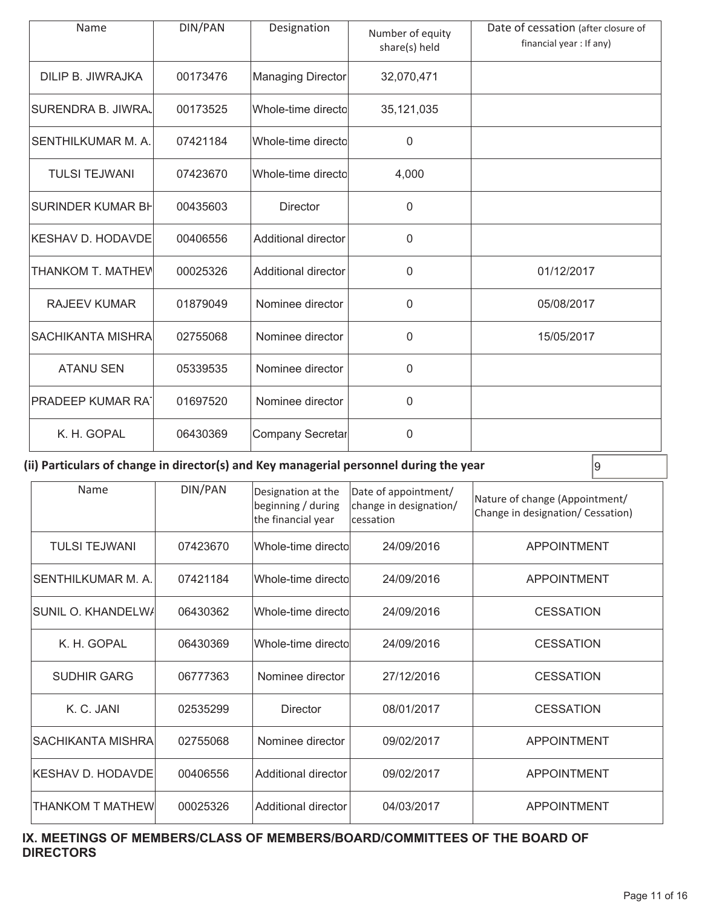| Name                     | DIN/PAN  | Designation         | Number of equity<br>share(s) held | Date of cessation (after closure of<br>financial year : If any) |
|--------------------------|----------|---------------------|-----------------------------------|-----------------------------------------------------------------|
| DILIP B. JIWRAJKA        | 00173476 | Managing Director   | 32,070,471                        |                                                                 |
| SURENDRA B. JIWRAJ       | 00173525 | Whole-time directo  | 35,121,035                        |                                                                 |
| SENTHILKUMAR M. A.       | 07421184 | Whole-time directo  | 0                                 |                                                                 |
| <b>TULSI TEJWANI</b>     | 07423670 | Whole-time directo  | 4,000                             |                                                                 |
| <b>SURINDER KUMAR BH</b> | 00435603 | <b>Director</b>     | 0                                 |                                                                 |
| <b>KESHAV D. HODAVDE</b> | 00406556 | Additional director | 0                                 |                                                                 |
| <b>THANKOM T. MATHEW</b> | 00025326 | Additional director | $\Omega$                          | 01/12/2017                                                      |
| <b>RAJEEV KUMAR</b>      | 01879049 | Nominee director    | 0                                 | 05/08/2017                                                      |
| SACHIKANTA MISHRA        | 02755068 | Nominee director    | $\Omega$                          | 15/05/2017                                                      |
| <b>ATANU SEN</b>         | 05339535 | Nominee director    | $\mathbf{0}$                      |                                                                 |
| <b>PRADEEP KUMAR RAT</b> | 01697520 | Nominee director    | 0                                 |                                                                 |
| K. H. GOPAL              | 06430369 | Company Secretar    | 0                                 |                                                                 |

## **(ii) Particulars of change in director(s) and Key managerial personnel during the year**  $\vert$ **9**

| Name                     | DIN/PAN  | Designation at the<br>beginning / during<br>the financial year | Date of appointment/<br>change in designation/<br>cessation | Nature of change (Appointment/<br>Change in designation/ Cessation) |
|--------------------------|----------|----------------------------------------------------------------|-------------------------------------------------------------|---------------------------------------------------------------------|
| <b>TULSI TEJWANI</b>     | 07423670 | Whole-time directol                                            | 24/09/2016                                                  | <b>APPOINTMENT</b>                                                  |
| SENTHILKUMAR M. A.       | 07421184 | Whole-time directol                                            | 24/09/2016                                                  | <b>APPOINTMENT</b>                                                  |
| SUNIL O. KHANDELW/       | 06430362 | Whole-time directol                                            | 24/09/2016                                                  | <b>CESSATION</b>                                                    |
| K. H. GOPAL              | 06430369 | Whole-time directol                                            | 24/09/2016                                                  | <b>CESSATION</b>                                                    |
| <b>SUDHIR GARG</b>       | 06777363 | Nominee director                                               | 27/12/2016                                                  | <b>CESSATION</b>                                                    |
| K. C. JANI               | 02535299 | Director                                                       | 08/01/2017                                                  | <b>CESSATION</b>                                                    |
| <b>SACHIKANTA MISHRA</b> | 02755068 | Nominee director                                               | 09/02/2017                                                  | <b>APPOINTMENT</b>                                                  |
| <b>KESHAV D. HODAVDE</b> | 00406556 | Additional director                                            | 09/02/2017                                                  | <b>APPOINTMENT</b>                                                  |
| THANKOM T MATHEWI        | 00025326 | Additional director                                            | 04/03/2017                                                  | <b>APPOINTMENT</b>                                                  |

#### **IX. MEETINGS OF MEMBERS/CLASS OF MEMBERS/BOARD/COMMITTEES OF THE BOARD OF DIRECTORS**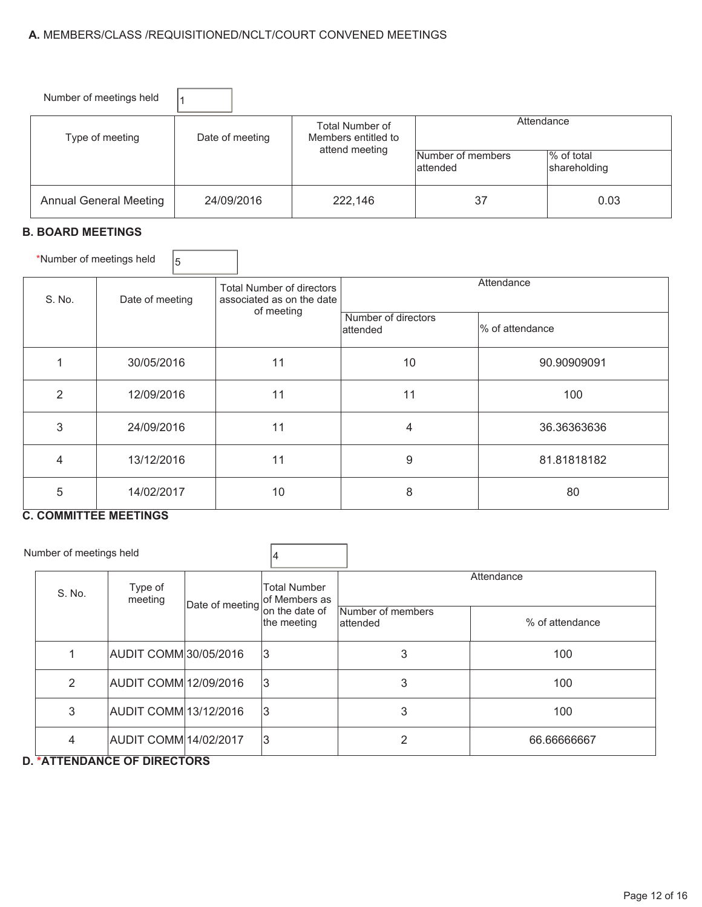#### **A.** MEMBERS/CLASS /REQUISITIONED/NCLT/COURT CONVENED MEETINGS

| Number of meetings held       |                 |                                                          |                                |                            |  |
|-------------------------------|-----------------|----------------------------------------------------------|--------------------------------|----------------------------|--|
| Type of meeting               | Date of meeting | Total Number of<br>Members entitled to<br>attend meeting | Attendance                     |                            |  |
|                               |                 |                                                          | Number of members<br>lattended | % of total<br>shareholding |  |
| <b>Annual General Meeting</b> | 24/09/2016      | 222,146                                                  | 37                             | 0.03                       |  |

#### **B. BOARD MEETINGS**

\*Number of meetings held  $\Big|_5$ 

| S. No. | Date of meeting | <b>Total Number of directors</b><br>associated as on the date<br>of meeting | Attendance                       |                  |  |
|--------|-----------------|-----------------------------------------------------------------------------|----------------------------------|------------------|--|
|        |                 |                                                                             | Number of directors<br>lattended | Ⅰ% of attendance |  |
|        | 30/05/2016      | 11                                                                          | 10                               | 90.90909091      |  |
| 2      | 12/09/2016      | 11                                                                          | 11                               | 100              |  |
| 3      | 24/09/2016      | 11                                                                          | 4                                | 36.36363636      |  |
| 4      | 13/12/2016      | 11                                                                          | 9                                | 81.81818182      |  |
| 5      | 14/02/2017      | 10                                                                          | 8                                | 80               |  |

#### **C. COMMITTEE MEETINGS**

Number of meetings held  $\sqrt{4}$ 

| S. No.         | Type of<br>meeting                          |  | <b>Total Number</b><br>lof Members as<br>Date of meeting on the date of<br>the meeting |                                | Attendance      |
|----------------|---------------------------------------------|--|----------------------------------------------------------------------------------------|--------------------------------|-----------------|
|                |                                             |  |                                                                                        | Number of members<br>lattended | % of attendance |
|                | AUDIT COMM 30/05/2016                       |  | 13                                                                                     | 3                              | 100             |
| 2              | AUDIT COMM 12/09/2016                       |  | 13                                                                                     | 3                              | 100             |
| 3              | AUDIT COMM 13/12/2016                       |  | 13                                                                                     | 3                              | 100             |
| $\overline{4}$ | <b>AUDIT COMM 14/02/2017</b><br>$1 - 1 - 1$ |  | 3                                                                                      | 2                              | 66.66666667     |

#### **D. \*ATTENDANCE OF DIRECTORS**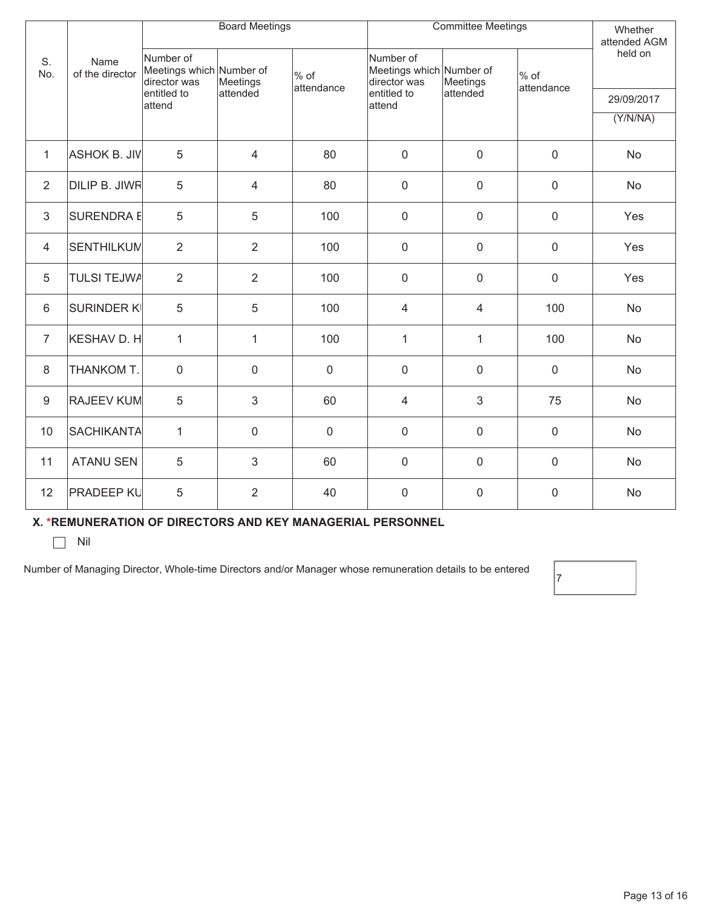|                  |                         | <b>Board Meetings</b>                                 |                         |                     | <b>Committee Meetings</b>                             | Whether<br>attended AGM |                    |            |
|------------------|-------------------------|-------------------------------------------------------|-------------------------|---------------------|-------------------------------------------------------|-------------------------|--------------------|------------|
| S.<br>No.        | Name<br>of the director | Number of<br>Meetings which Number of<br>director was | Meetings                | % of<br>attendance  | Number of<br>Meetings which Number of<br>director was | Meetings                | % of<br>attendance | held on    |
|                  |                         | entitled to<br>attend                                 | attended                |                     | entitled to<br>attend                                 | attended                |                    | 29/09/2017 |
|                  |                         |                                                       |                         |                     |                                                       |                         |                    | (Y/N/NA)   |
| $\mathbf{1}$     | <b>ASHOK B. JIV</b>     | 5                                                     | 4                       | 80                  | $\mathbf 0$                                           | $\mathsf 0$             | $\overline{0}$     | <b>No</b>  |
| $\overline{2}$   | DILIP B. JIWR           | 5                                                     | $\overline{\mathbf{4}}$ | 80                  | $\mathbf 0$                                           | $\mathbf 0$             | $\mathbf 0$        | No         |
| $\mathfrak{S}$   | <b>SURENDRA E</b>       | 5                                                     | 5                       | 100                 | $\mathbf 0$                                           | $\mathsf 0$             | $\overline{0}$     | Yes        |
| $\overline{4}$   | SENTHILKUM              | $\overline{2}$                                        | $\overline{2}$          | 100                 | $\mathbf 0$                                           | $\mathbf 0$             | $\overline{0}$     | Yes        |
| 5                | <b>TULSI TEJWA</b>      | $\overline{2}$                                        | $\overline{2}$          | 100                 | $\mathbf 0$                                           | $\mathbf 0$             | $\mathbf 0$        | Yes        |
| $6\phantom{1}$   | SURINDER KI             | 5                                                     | 5                       | 100                 | $\overline{4}$                                        | 4                       | 100                | <b>No</b>  |
| $\overline{7}$   | KESHAV D. H             | $\mathbf{1}$                                          | $\mathbf{1}$            | 100                 | $\mathbf{1}$                                          | $\mathbf{1}$            | 100                | <b>No</b>  |
| $\,8\,$          | THANKOM T.              | $\mathbf 0$                                           | $\boldsymbol{0}$        | $\mathsf{O}\xspace$ | $\mathbf 0$                                           | $\mathsf{O}\xspace$     | $\mathbf 0$        | No         |
| $\boldsymbol{9}$ | <b>RAJEEV KUM</b>       | 5                                                     | 3                       | 60                  | $\overline{4}$                                        | 3                       | 75                 | No         |
| 10               | <b>SACHIKANTA</b>       | $\mathbf{1}$                                          | 0                       | $\mathsf{O}\xspace$ | $\mathbf 0$                                           | $\mathsf{O}\xspace$     | $\mathbf 0$        | No         |
| 11               | <b>ATANU SEN</b>        | 5                                                     | 3                       | 60                  | $\mathbf 0$                                           | $\mathsf{O}\xspace$     | $\mathbf 0$        | No         |
| 12               | <b>PRADEEP KU</b>       | 5                                                     | $\overline{2}$          | 40                  | $\overline{0}$                                        | $\mathbf 0$             | $\overline{0}$     | No         |

#### **X. \*REMUNERATION OF DIRECTORS AND KEY MANAGERIAL PERSONNEL**

 $\Box$  Nil

Number of Managing Director, Whole-time Directors and/or Manager whose remuneration details to be entered

 $\vert$ 7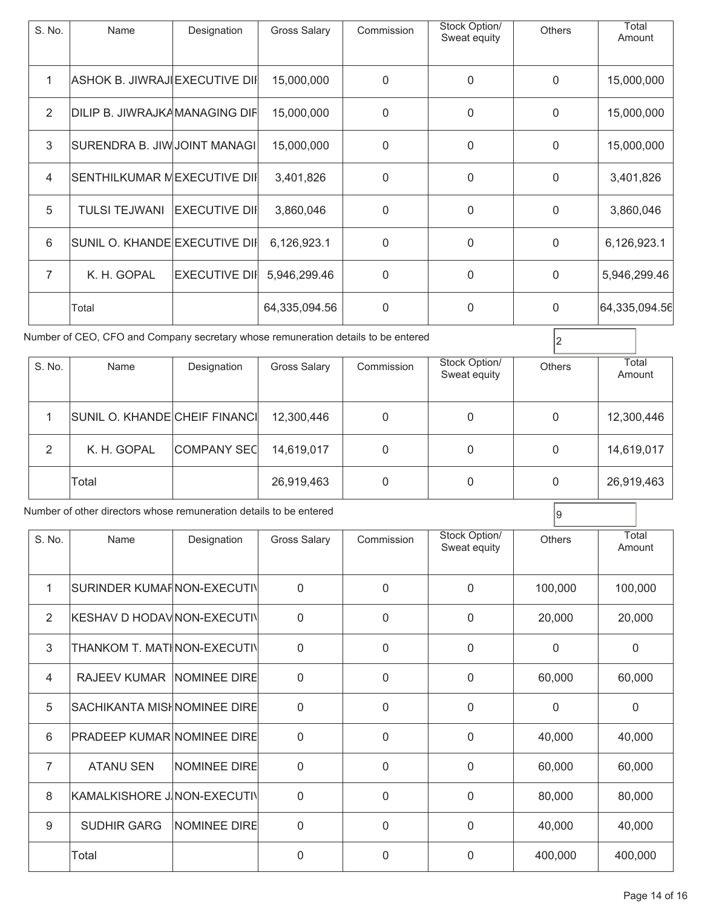| S. No.         | Name                                                                              | Designation          | <b>Gross Salary</b> | Commission          | Stock Option/<br>Sweat equity | Others              | Total<br>Amount  |
|----------------|-----------------------------------------------------------------------------------|----------------------|---------------------|---------------------|-------------------------------|---------------------|------------------|
| $\mathbf{1}$   | ASHOK B. JIWRAJ EXECUTIVE DII                                                     |                      | 15,000,000          | $\boldsymbol{0}$    | $\mathbf 0$                   | $\mathbf 0$         | 15,000,000       |
| 2              | DILIP B. JIWRAJKA MANAGING DIF                                                    |                      | 15,000,000          | 0                   | 0                             | 0                   | 15,000,000       |
| 3              | SURENDRA B. JIW JOINT MANAGI                                                      |                      | 15,000,000          | $\pmb{0}$           | 0                             | $\boldsymbol{0}$    | 15,000,000       |
| 4              | SENTHILKUMAR MEXECUTIVE DII                                                       |                      | 3,401,826           | 0                   | $\mathbf 0$                   | 0                   | 3,401,826        |
| 5              | <b>TULSI TEJWANI</b>                                                              | <b>EXECUTIVE DII</b> | 3,860,046           | 0                   | 0                             | 0                   | 3,860,046        |
| 6              | SUNIL O. KHANDE EXECUTIVE DII                                                     |                      | 6,126,923.1         | $\boldsymbol{0}$    | 0                             | $\mathsf 0$         | 6,126,923.1      |
| $\overline{7}$ | K. H. GOPAL                                                                       | <b>EXECUTIVE DII</b> | 5,946,299.46        | 0                   | 0                             | 0                   | 5,946,299.46     |
|                | Total                                                                             |                      | 64,335,094.56       | $\boldsymbol{0}$    | $\boldsymbol{0}$              | $\mathsf 0$         | 64,335,094.56    |
|                | Number of CEO, CFO and Company secretary whose remuneration details to be entered |                      |                     |                     |                               | 2                   |                  |
| S. No.         | Name                                                                              | Designation          | <b>Gross Salary</b> | Commission          | Stock Option/<br>Sweat equity | Others              | Total<br>Amount  |
| $\mathbf{1}$   | SUNIL O. KHANDE CHEIF FINANCI                                                     |                      | 12,300,446          | $\boldsymbol{0}$    | 0                             | $\mathsf{O}\xspace$ | 12,300,446       |
| 2              | K. H. GOPAL                                                                       | <b>COMPANY SEC</b>   | 14,619,017          | 0                   | 0                             | $\boldsymbol{0}$    | 14,619,017       |
|                | Total                                                                             |                      | 26,919,463          | $\pmb{0}$           | 0                             | $\pmb{0}$           | 26,919,463       |
|                | Number of other directors whose remuneration details to be entered                |                      |                     |                     |                               | 9                   |                  |
| S. No.         | Name                                                                              | Designation          | <b>Gross Salary</b> | Commission          | Stock Option/<br>Sweat equity | Others              | Total<br>Amount  |
| $\mathbf{1}$   | <b>SURINDER KUMAFINON-EXECUTIV</b>                                                |                      | $\mathbf 0$         | $\boldsymbol{0}$    | $\mathbf 0$                   | 100,000             | 100,000          |
| $\overline{2}$ | <b>KESHAV D HODAVINON-EXECUTIV</b>                                                |                      | 0                   | 0                   | 0                             | 20,000              | 20,000           |
| $\sqrt{3}$     | THANKOM T. MATINON-EXECUTIV                                                       |                      | 0                   | $\boldsymbol{0}$    | $\boldsymbol{0}$              | $\boldsymbol{0}$    | $\boldsymbol{0}$ |
| 4              | RAJEEV KUMAR NOMINEE DIRE                                                         |                      | 0                   | $\boldsymbol{0}$    | $\mathsf{O}\xspace$           | 60,000              | 60,000           |
| 5              | SACHIKANTA MISHNOMINEE DIRE                                                       |                      | $\mathbf 0$         | $\boldsymbol{0}$    | $\boldsymbol{0}$              | $\mathsf{O}\xspace$ | $\pmb{0}$        |
| 6              | <b>PRADEEP KUMAR NOMINEE DIRE</b>                                                 |                      | 0                   | 0                   | $\boldsymbol{0}$              | 40,000              | 40,000           |
| $\overline{7}$ | <b>ATANU SEN</b>                                                                  | <b>NOMINEE DIRE</b>  | 0                   | $\boldsymbol{0}$    | $\mathbf 0$                   | 60,000              | 60,000           |
| 8              | KAMALKISHORE J NON-EXECUTIV                                                       |                      | $\boldsymbol{0}$    | $\mathsf{O}\xspace$ | $\mathsf{O}\xspace$           | 80,000              | 80,000           |
| 9              | <b>SUDHIR GARG</b>                                                                | <b>NOMINEE DIRE</b>  | 0                   | 0                   | $\boldsymbol{0}$              | 40,000              | 40,000           |
|                | Total                                                                             |                      | 0                   | 0                   | 0                             | 400,000             | 400,000          |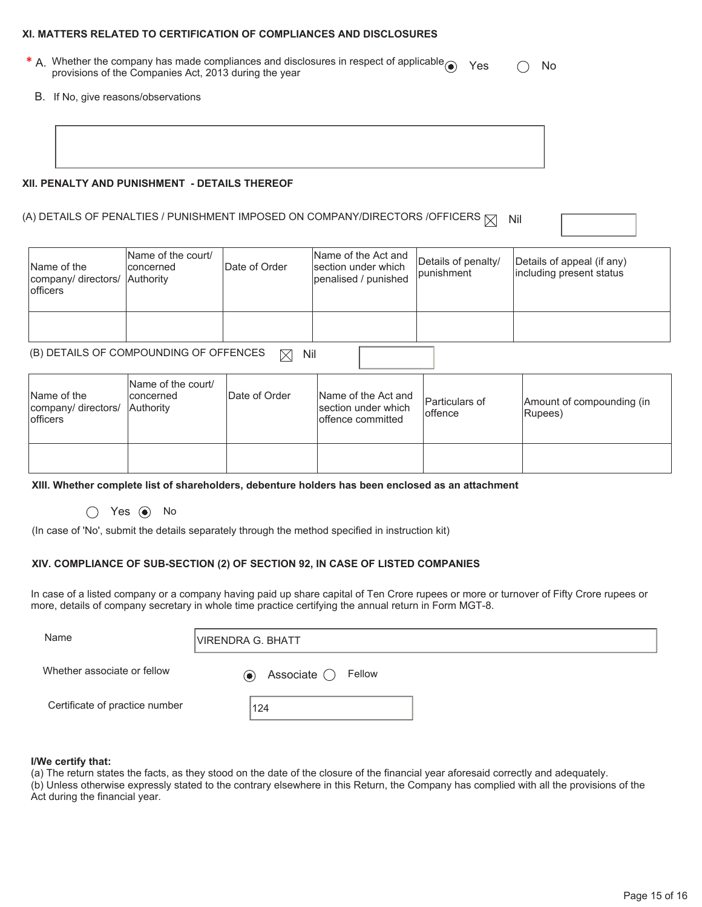#### **XI. MATTERS RELATED TO CERTIFICATION OF COMPLIANCES AND DISCLOSURES**

- **\*** A. Whether the company has made compliances and disclosures in respect of applicable Yes No<br>provisions of the Companies Act, 2013 during the year
	- B. If No, give reasons/observations

| XII. PENALTY AND PUNISHMENT - DETAILS THEREOF |  |  |  |
|-----------------------------------------------|--|--|--|

## (A) DETAILS OF PENALTIES / PUNISHMENT IMPOSED ON COMPANY/DIRECTORS /OFFICERS  $\boxtimes$  Nil

| Name of the<br>company/ directors/ Authority<br><b>lofficers</b> | Name of the court/<br><b>concerned</b> | Date of Order | Name of the Act and<br>section under which<br>penalised / punished | Details of penalty/<br><i>l</i> punishment | Details of appeal (if any)<br>including present status |
|------------------------------------------------------------------|----------------------------------------|---------------|--------------------------------------------------------------------|--------------------------------------------|--------------------------------------------------------|
|                                                                  |                                        |               |                                                                    |                                            |                                                        |

(B) DETAILS OF COMPOUNDING OF OFFENCES  $\boxtimes$  Nil

| Name of the<br>company/ directors/<br><b>lofficers</b> | Name of the court/<br>concerned<br>Authority | Date of Order | Name of the Act and<br>section under which<br>loffence committed | <b>Particulars of</b><br>loffence | Amount of compounding (in<br>Rupees) |
|--------------------------------------------------------|----------------------------------------------|---------------|------------------------------------------------------------------|-----------------------------------|--------------------------------------|
|                                                        |                                              |               |                                                                  |                                   |                                      |

**XIII. Whether complete list of shareholders, debenture holders has been enclosed as an attachment** 

 $\bigcap$  Yes  $\bigcirc$  No

(In case of 'No', submit the details separately through the method specified in instruction kit)

#### **XIV. COMPLIANCE OF SUB-SECTION (2) OF SECTION 92, IN CASE OF LISTED COMPANIES**

In case of a listed company or a company having paid up share capital of Ten Crore rupees or more or turnover of Fifty Crore rupees or more, details of company secretary in whole time practice certifying the annual return in Form MGT-8.

| Name                           | VIRENDRA G. BHATT                      |
|--------------------------------|----------------------------------------|
| Whether associate or fellow    | Associate $\bigcirc$ Fellow<br>$\odot$ |
| Certificate of practice number | 124                                    |

#### **I/We certify that:**

(a) The return states the facts, as they stood on the date of the closure of the financial year aforesaid correctly and adequately.

(b) Unless otherwise expressly stated to the contrary elsewhere in this Return, the Company has complied with all the provisions of the Act during the financial year.